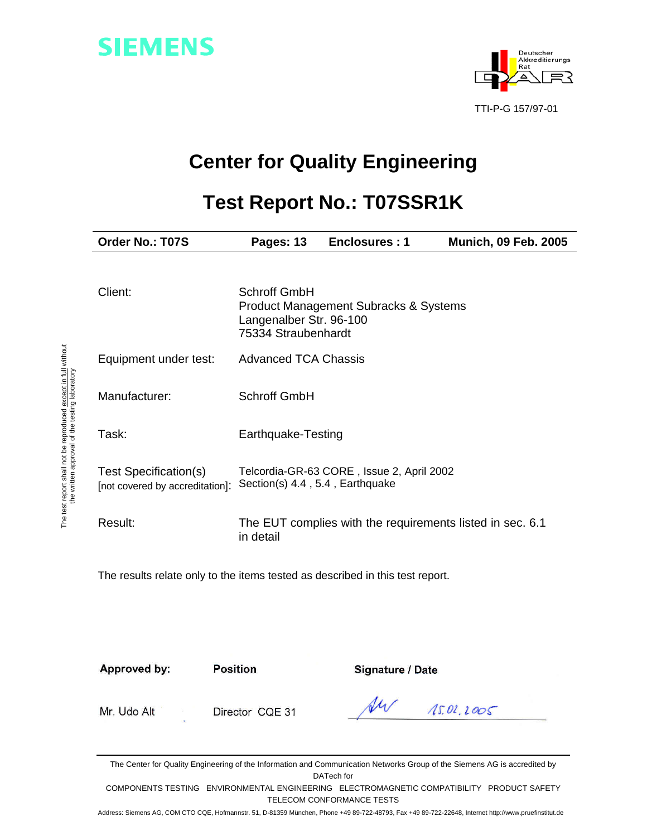



# **Center for Quality Engineering**

# **Test Report No.: T07SSR1K**

| Order No.: T07S                                          | Pages: 13                                                      | Enclosures: 1                                             | <b>Munich, 09 Feb. 2005</b> |
|----------------------------------------------------------|----------------------------------------------------------------|-----------------------------------------------------------|-----------------------------|
| Client:                                                  | Schroff GmbH<br>Langenalber Str. 96-100<br>75334 Straubenhardt | Product Management Subracks & Systems                     |                             |
| Equipment under test:                                    | <b>Advanced TCA Chassis</b>                                    |                                                           |                             |
| Manufacturer:                                            | <b>Schroff GmbH</b>                                            |                                                           |                             |
| Task:                                                    | Earthquake-Testing                                             |                                                           |                             |
| Test Specification(s)<br>[not covered by accreditation]: | Section(s) 4.4, 5.4, Earthquake                                | Telcordia-GR-63 CORE, Issue 2, April 2002                 |                             |
| Result:                                                  | in detail                                                      | The EUT complies with the requirements listed in sec. 6.1 |                             |

The results relate only to the items tested as described in this test report.

Approved by: Position **Signature / Date** 

Mr. Udo Alt Director CQE 31

U1/  $15.01.2005$ 

The Center for Quality Engineering of the Information and Communication Networks Group of the Siemens AG is accredited by DATech for

COMPONENTS TESTING ENVIRONMENTAL ENGINEERING ELECTROMAGNETIC COMPATIBILITY PRODUCT SAFETY TELECOM CONFORMANCE TESTS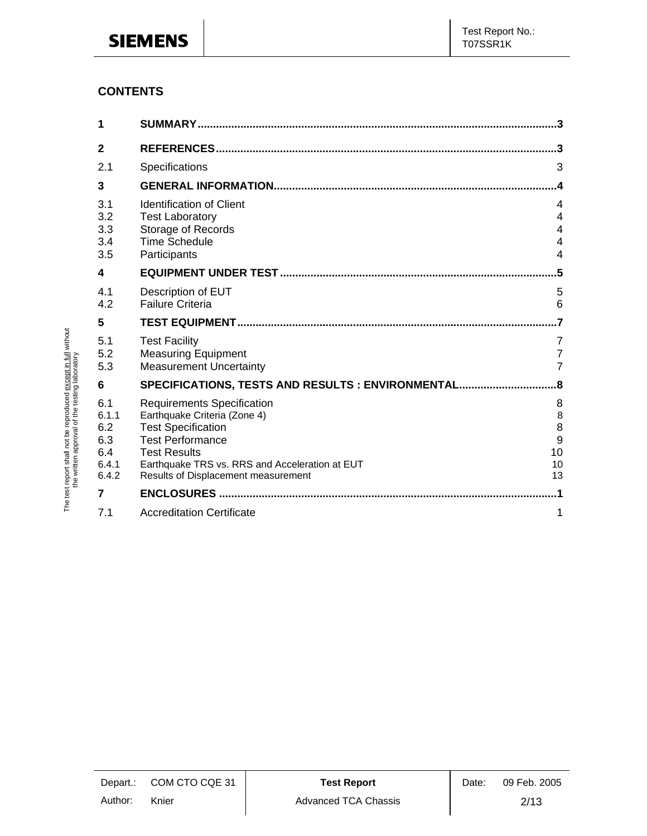## **CONTENTS**

The test report shall not be reproduced except in full without the written approval of the testing laboratory

The test report shall not be reproduced except in full without<br>the written approval of the testing laboratory

| 1            |                                                           |                |
|--------------|-----------------------------------------------------------|----------------|
| $\mathbf{2}$ |                                                           | 3              |
| 2.1          | Specifications                                            | 3              |
| 3            |                                                           | 4              |
| 3.1          | <b>Identification of Client</b>                           | 4              |
| 3.2<br>3.3   | <b>Test Laboratory</b><br><b>Storage of Records</b>       | 4<br>4         |
| 3.4          | <b>Time Schedule</b>                                      | 4              |
| 3.5          | Participants                                              | 4              |
| 4            |                                                           | .5             |
| 4.1          | Description of EUT                                        | 5              |
| 4.2          | <b>Failure Criteria</b>                                   | 6              |
| 5            |                                                           |                |
| 5.1          | <b>Test Facility</b>                                      | 7              |
| 5.2          | <b>Measuring Equipment</b>                                | $\overline{7}$ |
| 5.3          | <b>Measurement Uncertainty</b>                            | $\overline{7}$ |
| 6            | SPECIFICATIONS, TESTS AND RESULTS : ENVIRONMENTAL         | 8.             |
| 6.1          | <b>Requirements Specification</b>                         | 8              |
| 6.1.1<br>6.2 | Earthquake Criteria (Zone 4)<br><b>Test Specification</b> | 8<br>8         |
| 6.3          | <b>Test Performance</b>                                   | 9              |
| 6.4          |                                                           |                |
|              | <b>Test Results</b>                                       | 10             |
| 6.4.1        | Earthquake TRS vs. RRS and Acceleration at EUT            | 10             |
| 6.4.2        | Results of Displacement measurement                       | 13             |
| 7            | <b>ENCLOSURES.</b>                                        |                |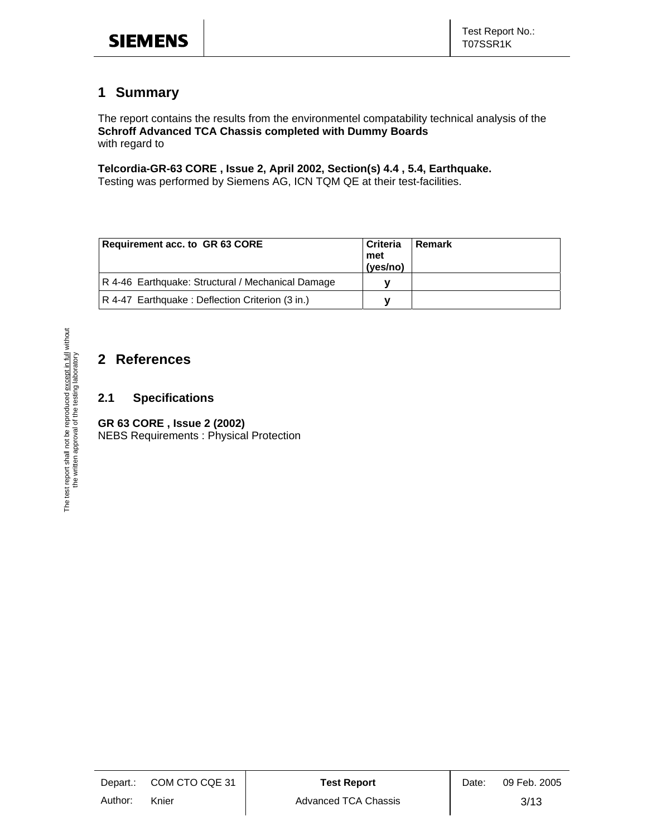## **1 Summary**

The report contains the results from the environmentel compatability technical analysis of the **Schroff Advanced TCA Chassis completed with Dummy Boards** with regard to

**Telcordia-GR-63 CORE , Issue 2, April 2002, Section(s) 4.4 , 5.4, Earthquake.** 

Testing was performed by Siemens AG, ICN TQM QE at their test-facilities.

| Requirement acc. to GR 63 CORE                    | l Criteria<br>l met<br>(yes/no) | Remark |
|---------------------------------------------------|---------------------------------|--------|
| R 4-46 Earthquake: Structural / Mechanical Damage |                                 |        |
| R 4-47 Earthquake: Deflection Criterion (3 in.)   |                                 |        |

## **2 References**

#### **2.1 Specifications**

#### **GR 63 CORE , Issue 2 (2002)**

NEBS Requirements : Physical Protection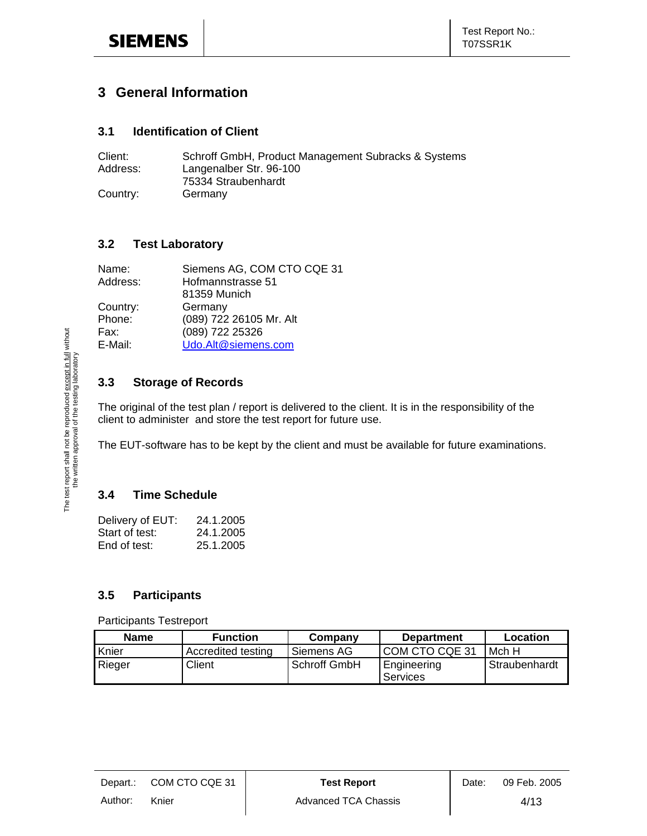## **3 General Information**

#### **3.1 Identification of Client**

| Client:  | Schroff GmbH, Product Management Subracks & Systems |
|----------|-----------------------------------------------------|
| Address: | Langenalber Str. 96-100                             |
|          | 75334 Straubenhardt                                 |
| Country: | Germany                                             |

#### **3.2 Test Laboratory**

| Siemens AG, COM CTO CQE 31 |
|----------------------------|
| Hofmannstrasse 51          |
| 81359 Munich               |
| Germany                    |
| (089) 722 26105 Mr. Alt    |
| (089) 722 25326            |
| Udo.Alt@siemens.com        |
|                            |

#### **3.3 Storage of Records**

The original of the test plan / report is delivered to the client. It is in the responsibility of the client to administer and store the test report for future use.

The EUT-software has to be kept by the client and must be available for future examinations.

### **3.4 Time Schedule**

| Delivery of EUT: | 24.1.2005 |
|------------------|-----------|
| Start of test:   | 24.1.2005 |
| End of test:     | 25.1.2005 |

#### **3.5 Participants**

| <b>Name</b> | <b>Function</b>    | Company      | <b>Department</b>       | Location      |
|-------------|--------------------|--------------|-------------------------|---------------|
| Knier       | Accredited testing | Siemens AG   | I COM CTO CQE 31        | Mch H         |
| Rieger      | Client             | Schroff GmbH | Engineering<br>Services | Straubenhardt |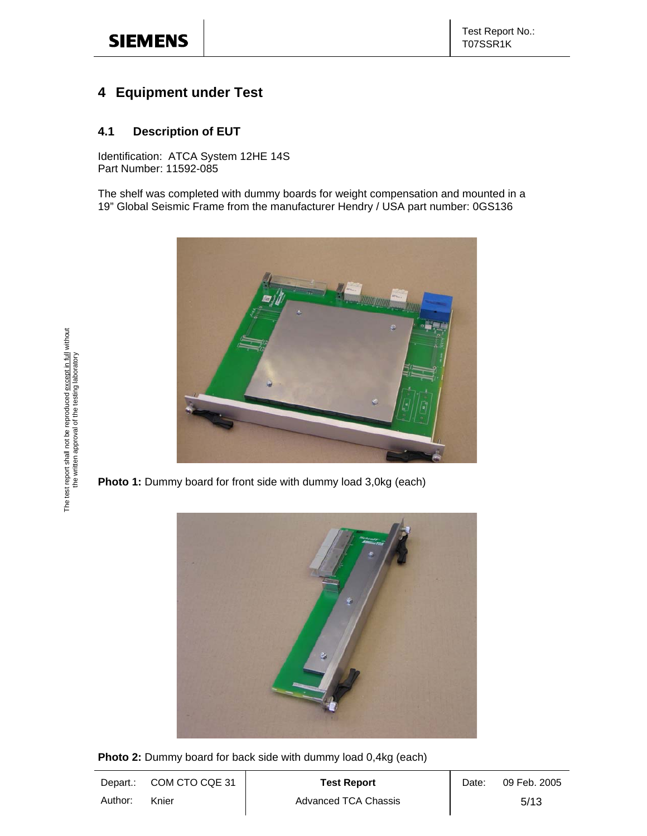## **4 Equipment under Test**

#### **4.1 Description of EUT**

Identification: ATCA System 12HE 14S Part Number: 11592-085

The shelf was completed with dummy boards for weight compensation and mounted in a 19" Global Seismic Frame from the manufacturer Hendry / USA part number: 0GS136



**Photo 1:** Dummy board for front side with dummy load 3,0kg (each)



**Photo 2:** Dummy board for back side with dummy load 0,4kg (each)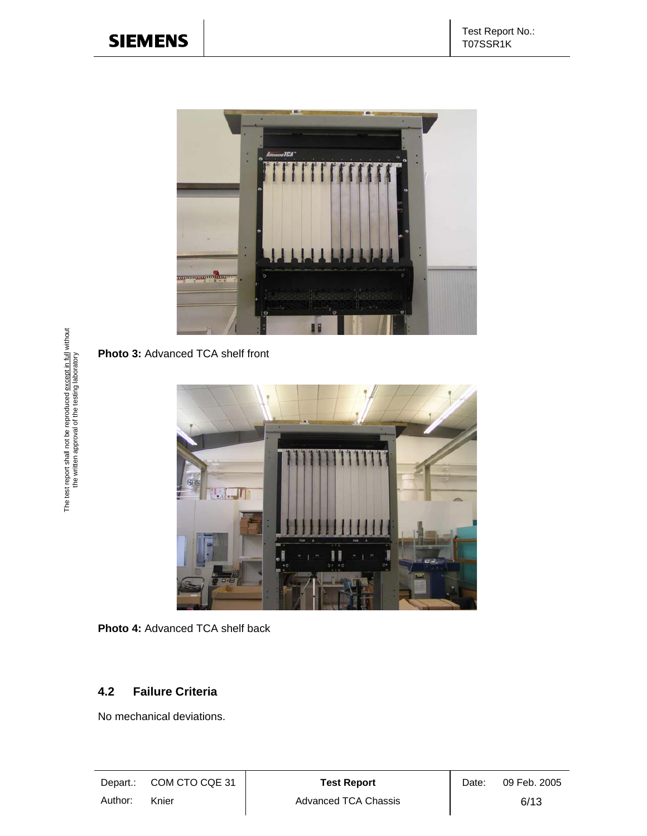

**Photo 3:** Advanced TCA shelf front



**Photo 4:** Advanced TCA shelf back

#### **4.2 Failure Criteria**

No mechanical deviations.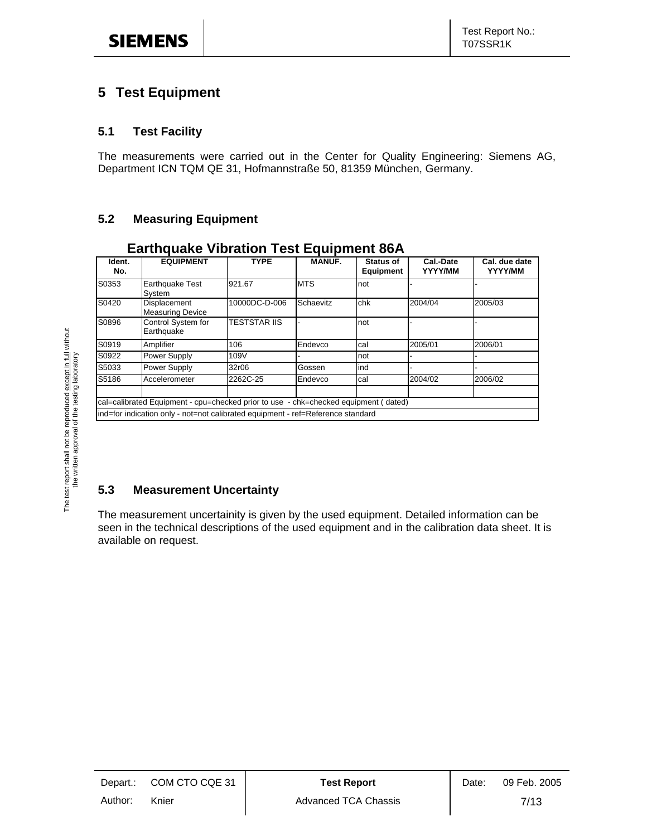## **5 Test Equipment**

#### **5.1 Test Facility**

The measurements were carried out in the Center for Quality Engineering: Siemens AG, Department ICN TQM QE 31, Hofmannstraße 50, 81359 München, Germany.

#### **5.2 Measuring Equipment**

| Ident.<br>No. | <b>EQUIPMENT</b>                                                                    | <b>TYPE</b>         | <b>MANUF.</b> | <b>Status of</b><br><b>Equipment</b> | Cal.-Date<br>YYYY/MM | Cal. due date<br>YYYY/MM |
|---------------|-------------------------------------------------------------------------------------|---------------------|---------------|--------------------------------------|----------------------|--------------------------|
| S0353         | Earthquake Test<br>Svstem                                                           | 921.67              | <b>MTS</b>    | not                                  |                      |                          |
| S0420         | Displacement<br><b>Measuring Device</b>                                             | 10000DC-D-006       | Schaevitz     | chk                                  | 2004/04              | 2005/03                  |
| S0896         | Control System for<br>Earthquake                                                    | <b>TESTSTAR IIS</b> |               | not                                  |                      |                          |
| S0919         | Amplifier                                                                           | 106                 | Endevco       | cal                                  | 2005/01              | 2006/01                  |
| S0922         | Power Supply                                                                        | 109V                |               | not                                  |                      |                          |
| S5033         | Power Supply                                                                        | 32r06               | Gossen        | ind                                  |                      |                          |
| S5186         | Accelerometer                                                                       | 2262C-25            | Endevco       | cal                                  | 2004/02              | 2006/02                  |
|               | cal=calibrated Equipment - cpu=checked prior to use - chk=checked equipment (dated) |                     |               |                                      |                      |                          |
|               | ind=for indication only - not=not calibrated equipment - ref=Reference standard     |                     |               |                                      |                      |                          |

#### **Earthquake Vibration Test Equipment 86A**

### **5.3 Measurement Uncertainty**

The measurement uncertainity is given by the used equipment. Detailed information can be seen in the technical descriptions of the used equipment and in the calibration data sheet. It is available on request.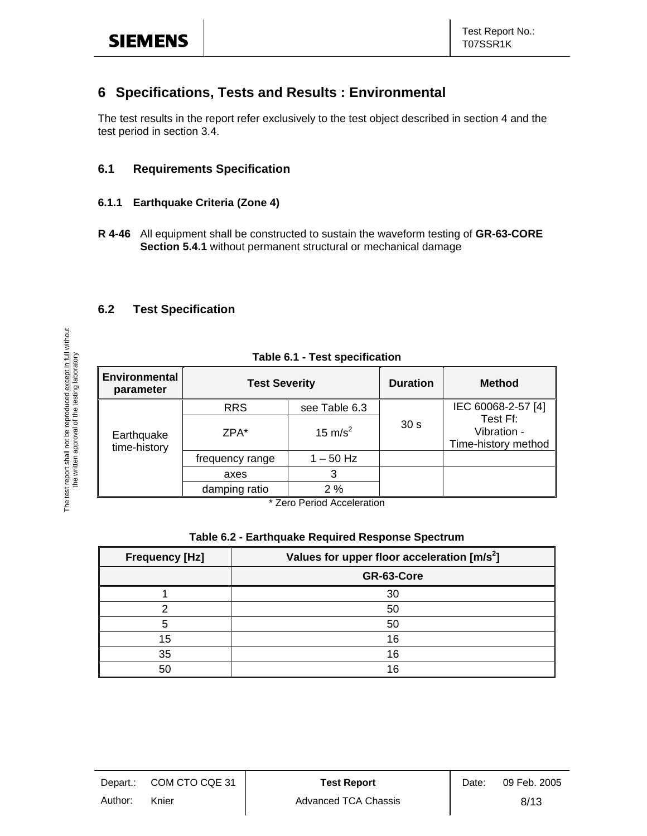## **6 Specifications, Tests and Results : Environmental**

The test results in the report refer exclusively to the test object described in section 4 and the test period in section 3.4.

#### **6.1 Requirements Specification**

#### **6.1.1 Earthquake Criteria (Zone 4)**

**R 4-46** All equipment shall be constructed to sustain the waveform testing of **GR-63-CORE Section 5.4.1** without permanent structural or mechanical damage

#### **6.2 Test Specification**

The test report shall not be reproduced <u>except in full</u> without<br>the written approval of the testing laboratory The test report shall not be reproduced except in full without the written approval of the testing laboratory

| Table 6.1 - Test specification    |                      |                                              |                 |                                                |
|-----------------------------------|----------------------|----------------------------------------------|-----------------|------------------------------------------------|
| <b>Environmental</b><br>parameter | <b>Test Severity</b> |                                              | <b>Duration</b> | <b>Method</b>                                  |
|                                   | <b>RRS</b>           | see Table 6.3                                |                 | IEC 60068-2-57 [4]                             |
| Earthquake<br>time-history        | ZPA*                 | 15 m/s <sup>2</sup>                          | 30 <sub>s</sub> | Test Ff:<br>Vibration -<br>Time-history method |
|                                   | frequency range      | $1 - 50$ Hz                                  |                 |                                                |
|                                   | axes                 | 3                                            |                 |                                                |
|                                   | damping ratio        | 2%                                           |                 |                                                |
|                                   |                      | $*$ $7$ and $D$ and and $A$ are algorithment |                 |                                                |

**Zero Period Acceleration** 

#### **Table 6.2 - Earthquake Required Response Spectrum**

| <b>Frequency [Hz]</b> | Values for upper floor acceleration [m/s <sup>2</sup> ] |
|-----------------------|---------------------------------------------------------|
|                       | GR-63-Core                                              |
|                       | 30                                                      |
|                       | 50                                                      |
| 5                     | 50                                                      |
| 15                    | 16                                                      |
| 35                    | 16                                                      |
| 50                    | 16                                                      |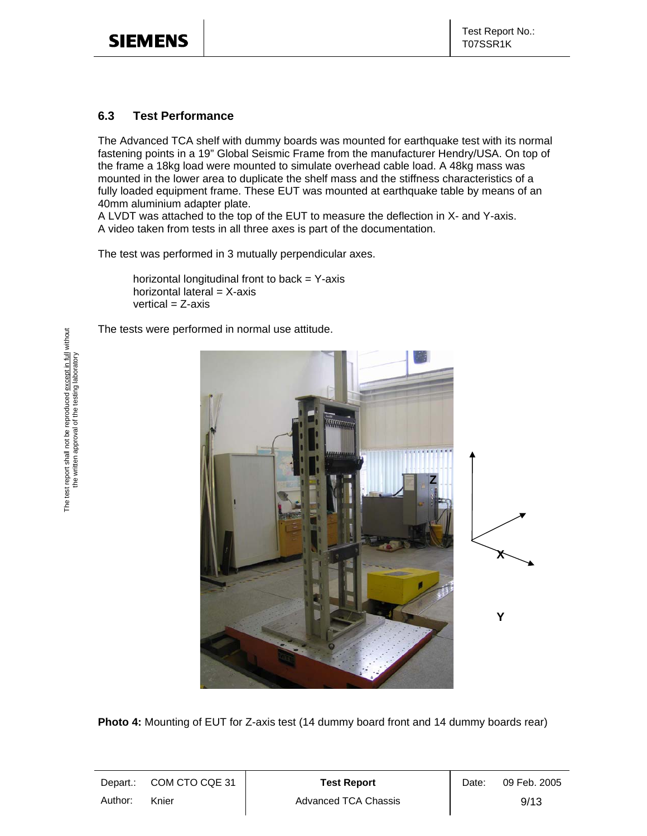#### **6.3 Test Performance**

The Advanced TCA shelf with dummy boards was mounted for earthquake test with its normal fastening points in a 19" Global Seismic Frame from the manufacturer Hendry/USA. On top of the frame a 18kg load were mounted to simulate overhead cable load. A 48kg mass was mounted in the lower area to duplicate the shelf mass and the stiffness characteristics of a fully loaded equipment frame. These EUT was mounted at earthquake table by means of an 40mm aluminium adapter plate.

A LVDT was attached to the top of the EUT to measure the deflection in X- and Y-axis. A video taken from tests in all three axes is part of the documentation.

The test was performed in 3 mutually perpendicular axes.

horizontal longitudinal front to back  $=$  Y-axis horizontal lateral  $=$  X-axis  $vertical = Z-axis$ 

The tests were performed in normal use attitude.



**Photo 4:** Mounting of EUT for Z-axis test (14 dummy board front and 14 dummy boards rear)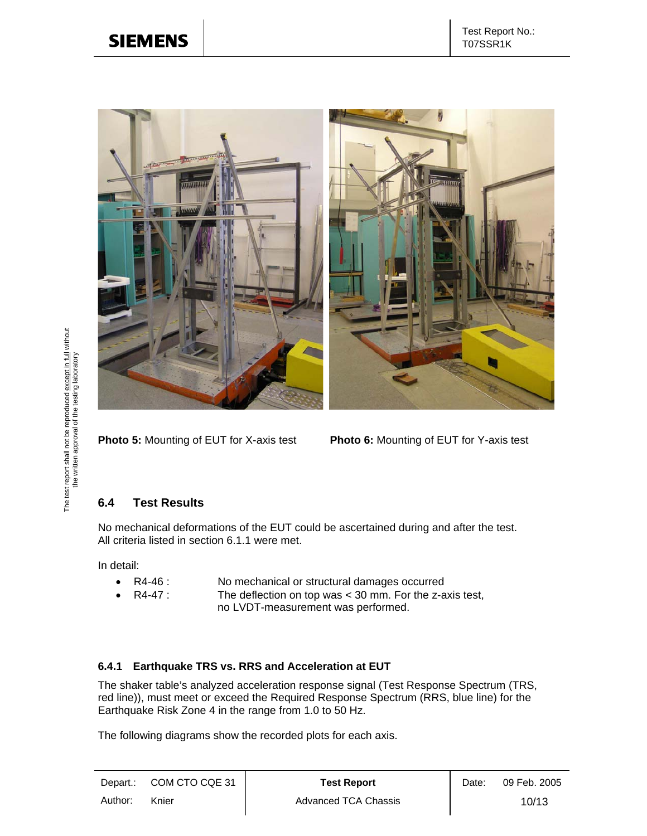

**Photo 5:** Mounting of EUT for X-axis test **Photo 6:** Mounting of EUT for Y-axis test

#### **6.4 Test Results**

No mechanical deformations of the EUT could be ascertained during and after the test. All criteria listed in section 6.1.1 were met.

In detail:

- R4-46 : No mechanical or structural damages occurred<br>• R4-47 : The deflection on top was < 30 mm. For the z-a
- 
- R4-47 : The deflection on top was < 30 mm. For the z-axis test, no LVDT-measurement was performed.

## **6.4.1 Earthquake TRS vs. RRS and Acceleration at EUT**

The shaker table's analyzed acceleration response signal (Test Response Spectrum (TRS, red line)), must meet or exceed the Required Response Spectrum (RRS, blue line) for the Earthquake Risk Zone 4 in the range from 1.0 to 50 Hz.

The following diagrams show the recorded plots for each axis.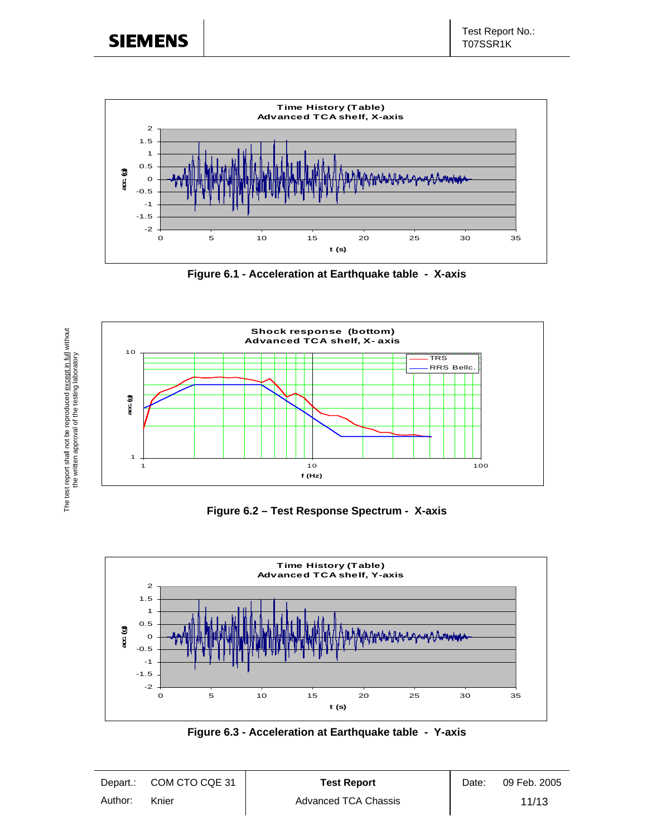

**Figure 6.1 - Acceleration at Earthquake table - X-axis** 



**Figure 6.2 – Test Response Spectrum - X-axis** 



**Figure 6.3 - Acceleration at Earthquake table - Y-axis**